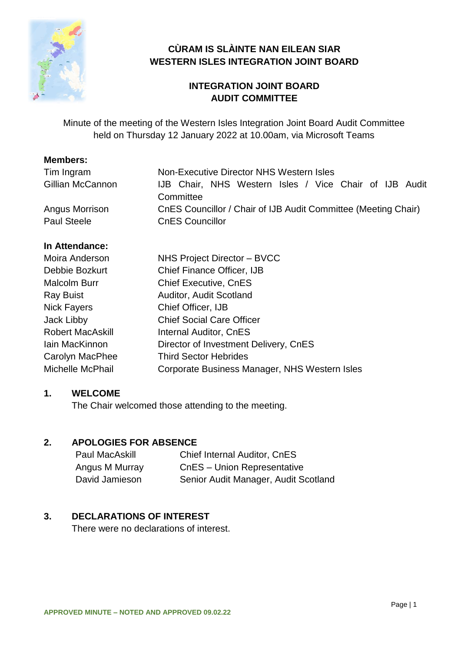

# **CÙRAM IS SLÀINTE NAN EILEAN SIAR WESTERN ISLES INTEGRATION JOINT BOARD**

# **INTEGRATION JOINT BOARD AUDIT COMMITTEE**

Minute of the meeting of the Western Isles Integration Joint Board Audit Committee held on Thursday 12 January 2022 at 10.00am, via Microsoft Teams

#### **Members:**

| Tim Ingram         | Non-Executive Director NHS Western Isles                       |
|--------------------|----------------------------------------------------------------|
| Gillian McCannon   | IJB Chair, NHS Western Isles / Vice Chair of IJB Audit         |
|                    | Committee                                                      |
| Angus Morrison     | CnES Councillor / Chair of IJB Audit Committee (Meeting Chair) |
| <b>Paul Steele</b> | <b>CnES Councillor</b>                                         |

#### **In Attendance:**

| Moira Anderson          | NHS Project Director - BVCC                   |
|-------------------------|-----------------------------------------------|
| Debbie Bozkurt          | <b>Chief Finance Officer, IJB</b>             |
| <b>Malcolm Burr</b>     | <b>Chief Executive, CnES</b>                  |
| <b>Ray Buist</b>        | <b>Auditor, Audit Scotland</b>                |
| <b>Nick Fayers</b>      | Chief Officer, IJB                            |
| Jack Libby              | <b>Chief Social Care Officer</b>              |
| <b>Robert MacAskill</b> | <b>Internal Auditor, CnES</b>                 |
| lain MacKinnon          | Director of Investment Delivery, CnES         |
| Carolyn MacPhee         | <b>Third Sector Hebrides</b>                  |
| Michelle McPhail        | Corporate Business Manager, NHS Western Isles |

## **1. WELCOME**

The Chair welcomed those attending to the meeting.

#### **2. APOLOGIES FOR ABSENCE**

| Paul MacAskill | <b>Chief Internal Auditor, CnES</b>  |
|----------------|--------------------------------------|
| Angus M Murray | CnES - Union Representative          |
| David Jamieson | Senior Audit Manager, Audit Scotland |

## **3. DECLARATIONS OF INTEREST**

There were no declarations of interest.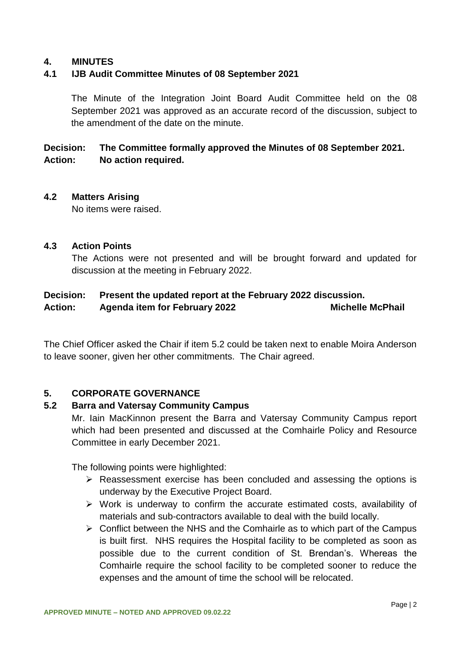#### **4. MINUTES**

#### **4.1 IJB Audit Committee Minutes of 08 September 2021**

The Minute of the Integration Joint Board Audit Committee held on the 08 September 2021 was approved as an accurate record of the discussion, subject to the amendment of the date on the minute.

## **Decision: The Committee formally approved the Minutes of 08 September 2021. Action: No action required.**

#### **4.2 Matters Arising**

No items were raised.

#### **4.3 Action Points**

The Actions were not presented and will be brought forward and updated for discussion at the meeting in February 2022.

## **Decision: Present the updated report at the February 2022 discussion.** Action: Agenda item for February 2022 Michelle McPhail

The Chief Officer asked the Chair if item 5.2 could be taken next to enable Moira Anderson to leave sooner, given her other commitments. The Chair agreed.

#### **5. CORPORATE GOVERNANCE**

#### **5.2 Barra and Vatersay Community Campus**

Mr. Iain MacKinnon present the Barra and Vatersay Community Campus report which had been presented and discussed at the Comhairle Policy and Resource Committee in early December 2021.

The following points were highlighted:

- $\triangleright$  Reassessment exercise has been concluded and assessing the options is underway by the Executive Project Board.
- $\triangleright$  Work is underway to confirm the accurate estimated costs, availability of materials and sub-contractors available to deal with the build locally.
- $\triangleright$  Conflict between the NHS and the Comhairle as to which part of the Campus is built first. NHS requires the Hospital facility to be completed as soon as possible due to the current condition of St. Brendan's. Whereas the Comhairle require the school facility to be completed sooner to reduce the expenses and the amount of time the school will be relocated.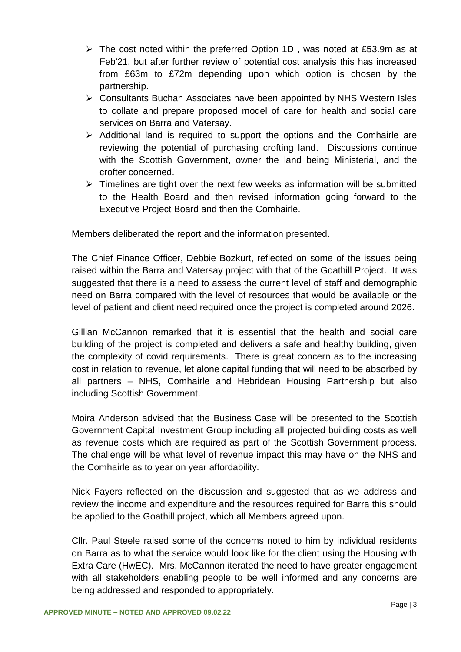- $\triangleright$  The cost noted within the preferred Option 1D, was noted at £53.9m as at Feb'21, but after further review of potential cost analysis this has increased from £63m to £72m depending upon which option is chosen by the partnership.
- Consultants Buchan Associates have been appointed by NHS Western Isles to collate and prepare proposed model of care for health and social care services on Barra and Vatersay.
- $\triangleright$  Additional land is required to support the options and the Comhairle are reviewing the potential of purchasing crofting land. Discussions continue with the Scottish Government, owner the land being Ministerial, and the crofter concerned.
- $\triangleright$  Timelines are tight over the next few weeks as information will be submitted to the Health Board and then revised information going forward to the Executive Project Board and then the Comhairle.

Members deliberated the report and the information presented.

The Chief Finance Officer, Debbie Bozkurt, reflected on some of the issues being raised within the Barra and Vatersay project with that of the Goathill Project. It was suggested that there is a need to assess the current level of staff and demographic need on Barra compared with the level of resources that would be available or the level of patient and client need required once the project is completed around 2026.

Gillian McCannon remarked that it is essential that the health and social care building of the project is completed and delivers a safe and healthy building, given the complexity of covid requirements. There is great concern as to the increasing cost in relation to revenue, let alone capital funding that will need to be absorbed by all partners – NHS, Comhairle and Hebridean Housing Partnership but also including Scottish Government.

Moira Anderson advised that the Business Case will be presented to the Scottish Government Capital Investment Group including all projected building costs as well as revenue costs which are required as part of the Scottish Government process. The challenge will be what level of revenue impact this may have on the NHS and the Comhairle as to year on year affordability.

Nick Fayers reflected on the discussion and suggested that as we address and review the income and expenditure and the resources required for Barra this should be applied to the Goathill project, which all Members agreed upon.

Cllr. Paul Steele raised some of the concerns noted to him by individual residents on Barra as to what the service would look like for the client using the Housing with Extra Care (HwEC). Mrs. McCannon iterated the need to have greater engagement with all stakeholders enabling people to be well informed and any concerns are being addressed and responded to appropriately.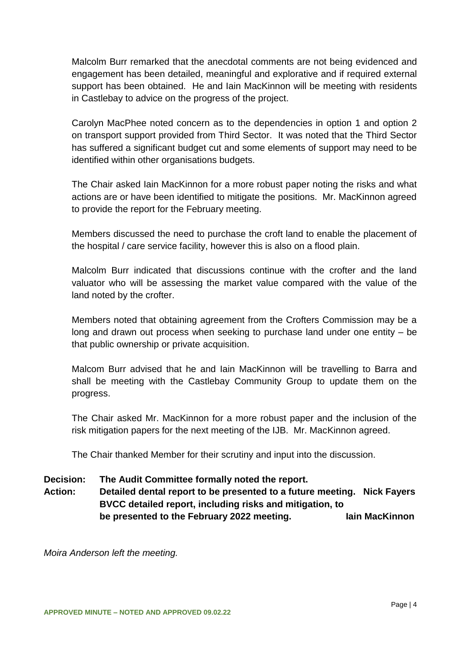Malcolm Burr remarked that the anecdotal comments are not being evidenced and engagement has been detailed, meaningful and explorative and if required external support has been obtained. He and Iain MacKinnon will be meeting with residents in Castlebay to advice on the progress of the project.

Carolyn MacPhee noted concern as to the dependencies in option 1 and option 2 on transport support provided from Third Sector. It was noted that the Third Sector has suffered a significant budget cut and some elements of support may need to be identified within other organisations budgets.

The Chair asked Iain MacKinnon for a more robust paper noting the risks and what actions are or have been identified to mitigate the positions. Mr. MacKinnon agreed to provide the report for the February meeting.

Members discussed the need to purchase the croft land to enable the placement of the hospital / care service facility, however this is also on a flood plain.

Malcolm Burr indicated that discussions continue with the crofter and the land valuator who will be assessing the market value compared with the value of the land noted by the crofter.

Members noted that obtaining agreement from the Crofters Commission may be a long and drawn out process when seeking to purchase land under one entity – be that public ownership or private acquisition.

Malcom Burr advised that he and Iain MacKinnon will be travelling to Barra and shall be meeting with the Castlebay Community Group to update them on the progress.

The Chair asked Mr. MacKinnon for a more robust paper and the inclusion of the risk mitigation papers for the next meeting of the IJB. Mr. MacKinnon agreed.

The Chair thanked Member for their scrutiny and input into the discussion.

#### **Decision: The Audit Committee formally noted the report.**

**Action: Detailed dental report to be presented to a future meeting. Nick Fayers BVCC detailed report, including risks and mitigation, to be presented to the February 2022 meeting. Iain MacKinnon**

*Moira Anderson left the meeting.*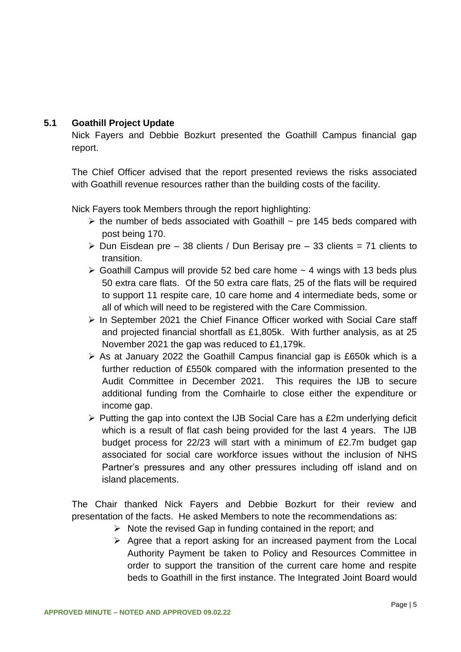#### **5.1 Goathill Project Update**

Nick Fayers and Debbie Bozkurt presented the Goathill Campus financial gap report.

The Chief Officer advised that the report presented reviews the risks associated with Goathill revenue resources rather than the building costs of the facility.

Nick Fayers took Members through the report highlighting:

- $\triangleright$  the number of beds associated with Goathill  $\sim$  pre 145 beds compared with post being 170.
- $\triangleright$  Dun Eisdean pre 38 clients / Dun Berisay pre 33 clients = 71 clients to transition.
- $\geq$  Goathill Campus will provide 52 bed care home  $\sim$  4 wings with 13 beds plus 50 extra care flats. Of the 50 extra care flats, 25 of the flats will be required to support 11 respite care, 10 care home and 4 intermediate beds, some or all of which will need to be registered with the Care Commission.
- $\triangleright$  In September 2021 the Chief Finance Officer worked with Social Care staff and projected financial shortfall as £1,805k. With further analysis, as at 25 November 2021 the gap was reduced to £1,179k.
- $\triangleright$  As at January 2022 the Goathill Campus financial gap is £650k which is a further reduction of £550k compared with the information presented to the Audit Committee in December 2021. This requires the IJB to secure additional funding from the Comhairle to close either the expenditure or income gap.
- $\triangleright$  Putting the gap into context the IJB Social Care has a £2m underlying deficit which is a result of flat cash being provided for the last 4 years. The IJB budget process for 22/23 will start with a minimum of £2.7m budget gap associated for social care workforce issues without the inclusion of NHS Partner's pressures and any other pressures including off island and on island placements.

The Chair thanked Nick Fayers and Debbie Bozkurt for their review and presentation of the facts. He asked Members to note the recommendations as:

- $\triangleright$  Note the revised Gap in funding contained in the report; and
- $\triangleright$  Agree that a report asking for an increased payment from the Local Authority Payment be taken to Policy and Resources Committee in order to support the transition of the current care home and respite beds to Goathill in the first instance. The Integrated Joint Board would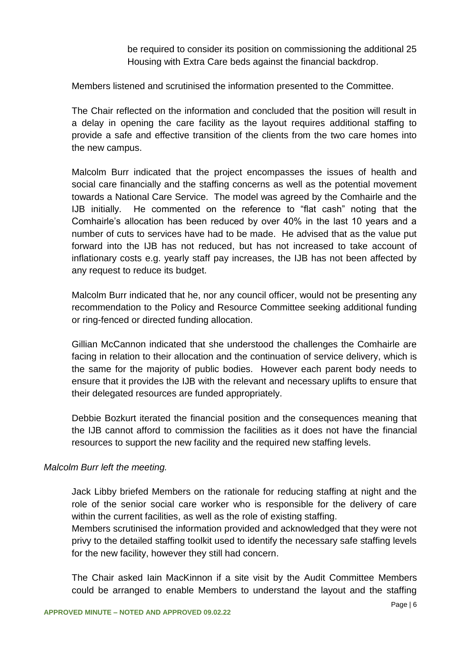be required to consider its position on commissioning the additional 25 Housing with Extra Care beds against the financial backdrop.

Members listened and scrutinised the information presented to the Committee.

The Chair reflected on the information and concluded that the position will result in a delay in opening the care facility as the layout requires additional staffing to provide a safe and effective transition of the clients from the two care homes into the new campus.

Malcolm Burr indicated that the project encompasses the issues of health and social care financially and the staffing concerns as well as the potential movement towards a National Care Service. The model was agreed by the Comhairle and the IJB initially. He commented on the reference to "flat cash" noting that the Comhairle's allocation has been reduced by over 40% in the last 10 years and a number of cuts to services have had to be made. He advised that as the value put forward into the IJB has not reduced, but has not increased to take account of inflationary costs e.g. yearly staff pay increases, the IJB has not been affected by any request to reduce its budget.

Malcolm Burr indicated that he, nor any council officer, would not be presenting any recommendation to the Policy and Resource Committee seeking additional funding or ring-fenced or directed funding allocation.

Gillian McCannon indicated that she understood the challenges the Comhairle are facing in relation to their allocation and the continuation of service delivery, which is the same for the majority of public bodies. However each parent body needs to ensure that it provides the IJB with the relevant and necessary uplifts to ensure that their delegated resources are funded appropriately.

Debbie Bozkurt iterated the financial position and the consequences meaning that the IJB cannot afford to commission the facilities as it does not have the financial resources to support the new facility and the required new staffing levels.

#### *Malcolm Burr left the meeting.*

Jack Libby briefed Members on the rationale for reducing staffing at night and the role of the senior social care worker who is responsible for the delivery of care within the current facilities, as well as the role of existing staffing.

Members scrutinised the information provided and acknowledged that they were not privy to the detailed staffing toolkit used to identify the necessary safe staffing levels for the new facility, however they still had concern.

The Chair asked Iain MacKinnon if a site visit by the Audit Committee Members could be arranged to enable Members to understand the layout and the staffing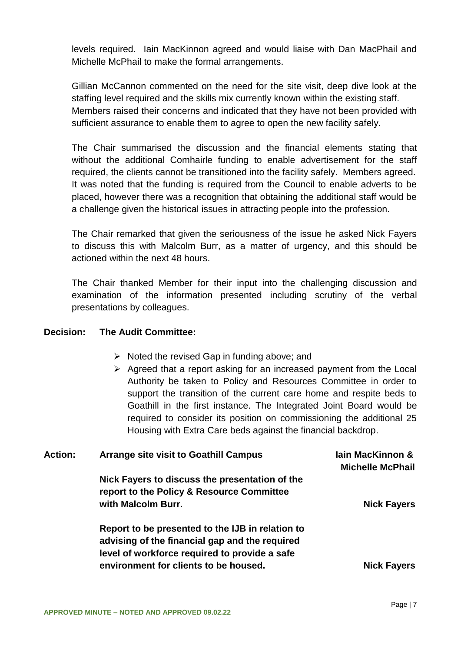levels required. Iain MacKinnon agreed and would liaise with Dan MacPhail and Michelle McPhail to make the formal arrangements.

Gillian McCannon commented on the need for the site visit, deep dive look at the staffing level required and the skills mix currently known within the existing staff. Members raised their concerns and indicated that they have not been provided with sufficient assurance to enable them to agree to open the new facility safely.

The Chair summarised the discussion and the financial elements stating that without the additional Comhairle funding to enable advertisement for the staff required, the clients cannot be transitioned into the facility safely. Members agreed. It was noted that the funding is required from the Council to enable adverts to be placed, however there was a recognition that obtaining the additional staff would be a challenge given the historical issues in attracting people into the profession.

The Chair remarked that given the seriousness of the issue he asked Nick Fayers to discuss this with Malcolm Burr, as a matter of urgency, and this should be actioned within the next 48 hours.

The Chair thanked Member for their input into the challenging discussion and examination of the information presented including scrutiny of the verbal presentations by colleagues.

#### **Decision: The Audit Committee:**

- $\triangleright$  Noted the revised Gap in funding above; and
- $\triangleright$  Agreed that a report asking for an increased payment from the Local Authority be taken to Policy and Resources Committee in order to support the transition of the current care home and respite beds to Goathill in the first instance. The Integrated Joint Board would be required to consider its position on commissioning the additional 25 Housing with Extra Care beds against the financial backdrop.

| <b>Action:</b> | <b>Arrange site visit to Goathill Campus</b>                                                                                                        | lain MacKinnon &<br><b>Michelle McPhail</b> |
|----------------|-----------------------------------------------------------------------------------------------------------------------------------------------------|---------------------------------------------|
|                | Nick Fayers to discuss the presentation of the<br>report to the Policy & Resource Committee<br>with Malcolm Burr.                                   | <b>Nick Fayers</b>                          |
|                | Report to be presented to the IJB in relation to<br>advising of the financial gap and the required<br>level of workforce required to provide a safe |                                             |
|                | environment for clients to be housed.                                                                                                               | <b>Nick Fayers</b>                          |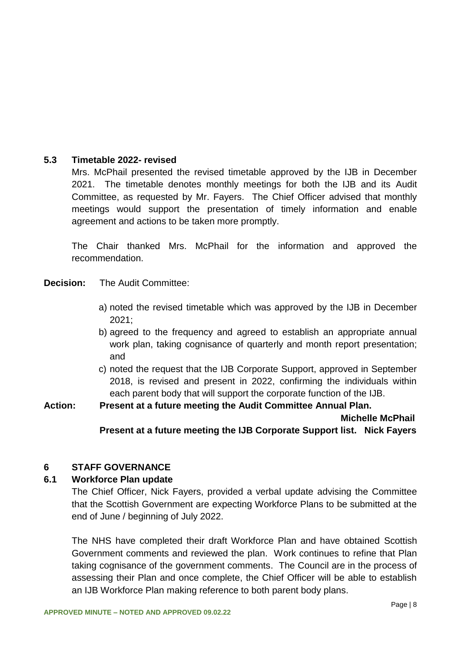#### **5.3 Timetable 2022- revised**

Mrs. McPhail presented the revised timetable approved by the IJB in December 2021. The timetable denotes monthly meetings for both the IJB and its Audit Committee, as requested by Mr. Fayers. The Chief Officer advised that monthly meetings would support the presentation of timely information and enable agreement and actions to be taken more promptly.

The Chair thanked Mrs. McPhail for the information and approved the recommendation.

**Decision:** The Audit Committee:

- a) noted the revised timetable which was approved by the IJB in December 2021;
- b) agreed to the frequency and agreed to establish an appropriate annual work plan, taking cognisance of quarterly and month report presentation; and
- c) noted the request that the IJB Corporate Support, approved in September 2018, is revised and present in 2022, confirming the individuals within each parent body that will support the corporate function of the IJB.

**Action: Present at a future meeting the Audit Committee Annual Plan. Michelle McPhail Present at a future meeting the IJB Corporate Support list. Nick Fayers**

#### **6 STAFF GOVERNANCE**

#### **6.1 Workforce Plan update**

The Chief Officer, Nick Fayers, provided a verbal update advising the Committee that the Scottish Government are expecting Workforce Plans to be submitted at the end of June / beginning of July 2022.

The NHS have completed their draft Workforce Plan and have obtained Scottish Government comments and reviewed the plan. Work continues to refine that Plan taking cognisance of the government comments. The Council are in the process of assessing their Plan and once complete, the Chief Officer will be able to establish an IJB Workforce Plan making reference to both parent body plans.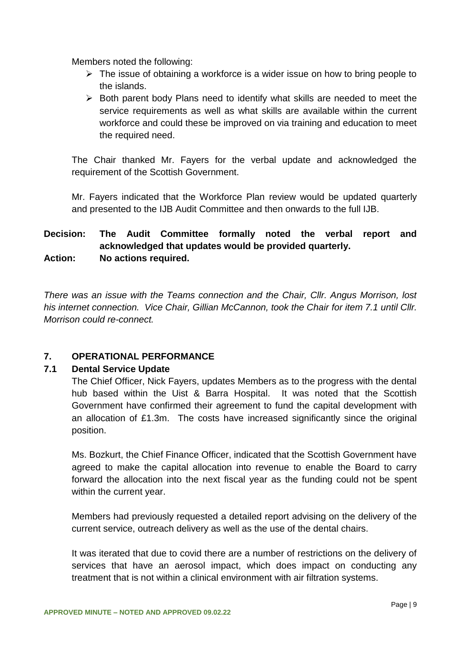Members noted the following:

- $\triangleright$  The issue of obtaining a workforce is a wider issue on how to bring people to the islands.
- $\triangleright$  Both parent body Plans need to identify what skills are needed to meet the service requirements as well as what skills are available within the current workforce and could these be improved on via training and education to meet the required need.

The Chair thanked Mr. Fayers for the verbal update and acknowledged the requirement of the Scottish Government.

Mr. Fayers indicated that the Workforce Plan review would be updated quarterly and presented to the IJB Audit Committee and then onwards to the full IJB.

# **Decision: The Audit Committee formally noted the verbal report and acknowledged that updates would be provided quarterly. Action: No actions required.**

*There was an issue with the Teams connection and the Chair, Cllr. Angus Morrison, lost his internet connection. Vice Chair, Gillian McCannon, took the Chair for item 7.1 until Cllr. Morrison could re-connect.*

## **7. OPERATIONAL PERFORMANCE**

## **7.1 Dental Service Update**

The Chief Officer, Nick Fayers, updates Members as to the progress with the dental hub based within the Uist & Barra Hospital. It was noted that the Scottish Government have confirmed their agreement to fund the capital development with an allocation of £1.3m. The costs have increased significantly since the original position.

Ms. Bozkurt, the Chief Finance Officer, indicated that the Scottish Government have agreed to make the capital allocation into revenue to enable the Board to carry forward the allocation into the next fiscal year as the funding could not be spent within the current year.

Members had previously requested a detailed report advising on the delivery of the current service, outreach delivery as well as the use of the dental chairs.

It was iterated that due to covid there are a number of restrictions on the delivery of services that have an aerosol impact, which does impact on conducting any treatment that is not within a clinical environment with air filtration systems.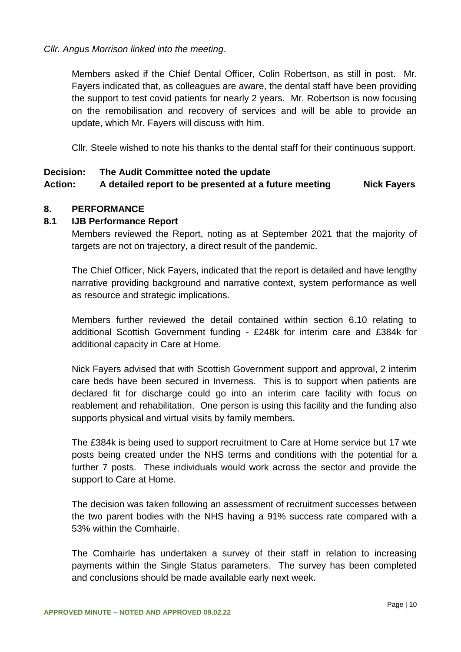#### *Cllr. Angus Morrison linked into the meeting*.

Members asked if the Chief Dental Officer, Colin Robertson, as still in post. Mr. Fayers indicated that, as colleagues are aware, the dental staff have been providing the support to test covid patients for nearly 2 years. Mr. Robertson is now focusing on the remobilisation and recovery of services and will be able to provide an update, which Mr. Fayers will discuss with him.

Cllr. Steele wished to note his thanks to the dental staff for their continuous support.

#### **Decision: The Audit Committee noted the update**

# Action: A detailed report to be presented at a future meeting Nick Favers

#### **8. PERFORMANCE**

#### **8.1 IJB Performance Report**

Members reviewed the Report, noting as at September 2021 that the majority of targets are not on trajectory, a direct result of the pandemic.

The Chief Officer, Nick Fayers, indicated that the report is detailed and have lengthy narrative providing background and narrative context, system performance as well as resource and strategic implications.

Members further reviewed the detail contained within section 6.10 relating to additional Scottish Government funding - £248k for interim care and £384k for additional capacity in Care at Home.

Nick Fayers advised that with Scottish Government support and approval, 2 interim care beds have been secured in Inverness. This is to support when patients are declared fit for discharge could go into an interim care facility with focus on reablement and rehabilitation. One person is using this facility and the funding also supports physical and virtual visits by family members.

The £384k is being used to support recruitment to Care at Home service but 17 wte posts being created under the NHS terms and conditions with the potential for a further 7 posts. These individuals would work across the sector and provide the support to Care at Home.

The decision was taken following an assessment of recruitment successes between the two parent bodies with the NHS having a 91% success rate compared with a 53% within the Comhairle.

The Comhairle has undertaken a survey of their staff in relation to increasing payments within the Single Status parameters. The survey has been completed and conclusions should be made available early next week.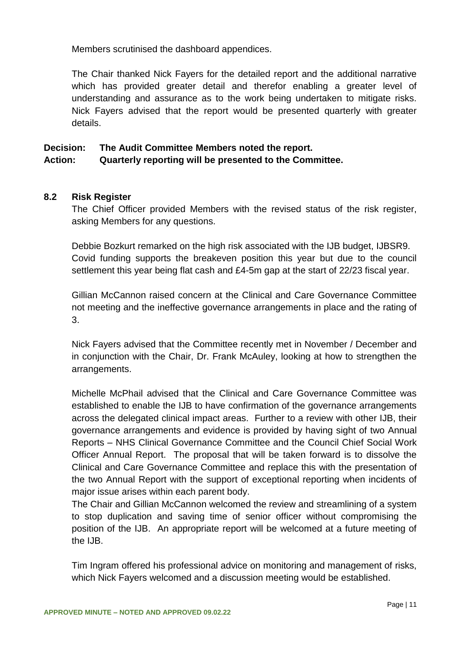Members scrutinised the dashboard appendices.

The Chair thanked Nick Fayers for the detailed report and the additional narrative which has provided greater detail and therefor enabling a greater level of understanding and assurance as to the work being undertaken to mitigate risks. Nick Fayers advised that the report would be presented quarterly with greater details.

# **Decision: The Audit Committee Members noted the report.**

#### **Action: Quarterly reporting will be presented to the Committee.**

#### **8.2 Risk Register**

The Chief Officer provided Members with the revised status of the risk register, asking Members for any questions.

Debbie Bozkurt remarked on the high risk associated with the IJB budget, IJBSR9. Covid funding supports the breakeven position this year but due to the council settlement this year being flat cash and £4-5m gap at the start of 22/23 fiscal year.

Gillian McCannon raised concern at the Clinical and Care Governance Committee not meeting and the ineffective governance arrangements in place and the rating of 3.

Nick Fayers advised that the Committee recently met in November / December and in conjunction with the Chair, Dr. Frank McAuley, looking at how to strengthen the arrangements.

Michelle McPhail advised that the Clinical and Care Governance Committee was established to enable the IJB to have confirmation of the governance arrangements across the delegated clinical impact areas. Further to a review with other IJB, their governance arrangements and evidence is provided by having sight of two Annual Reports – NHS Clinical Governance Committee and the Council Chief Social Work Officer Annual Report. The proposal that will be taken forward is to dissolve the Clinical and Care Governance Committee and replace this with the presentation of the two Annual Report with the support of exceptional reporting when incidents of major issue arises within each parent body.

The Chair and Gillian McCannon welcomed the review and streamlining of a system to stop duplication and saving time of senior officer without compromising the position of the IJB. An appropriate report will be welcomed at a future meeting of the IJB.

Tim Ingram offered his professional advice on monitoring and management of risks, which Nick Fayers welcomed and a discussion meeting would be established.